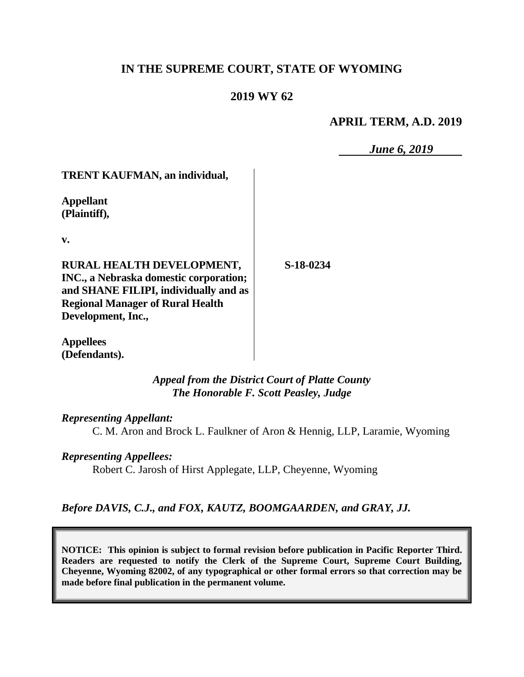# **IN THE SUPREME COURT, STATE OF WYOMING**

# **2019 WY 62**

## **APRIL TERM, A.D. 2019**

*June 6, 2019*

**TRENT KAUFMAN, an individual,**

**Appellant (Plaintiff),**

**v.**

**RURAL HEALTH DEVELOPMENT, INC., a Nebraska domestic corporation; and SHANE FILIPI, individually and as Regional Manager of Rural Health Development, Inc.,**

**S-18-0234**

**Appellees (Defendants).**

> *Appeal from the District Court of Platte County The Honorable F. Scott Peasley, Judge*

*Representing Appellant:*

C. M. Aron and Brock L. Faulkner of Aron & Hennig, LLP, Laramie, Wyoming

### *Representing Appellees:*

Robert C. Jarosh of Hirst Applegate, LLP, Cheyenne, Wyoming

*Before DAVIS, C.J., and FOX, KAUTZ, BOOMGAARDEN, and GRAY, JJ.*

**NOTICE: This opinion is subject to formal revision before publication in Pacific Reporter Third. Readers are requested to notify the Clerk of the Supreme Court, Supreme Court Building, Cheyenne, Wyoming 82002, of any typographical or other formal errors so that correction may be made before final publication in the permanent volume.**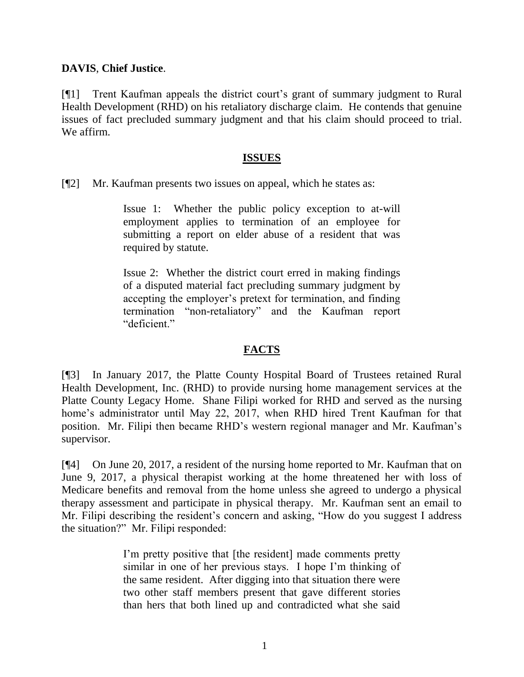#### **DAVIS**, **Chief Justice**.

[¶1] Trent Kaufman appeals the district court's grant of summary judgment to Rural Health Development (RHD) on his retaliatory discharge claim. He contends that genuine issues of fact precluded summary judgment and that his claim should proceed to trial. We affirm.

#### **ISSUES**

[¶2] Mr. Kaufman presents two issues on appeal, which he states as:

Issue 1: Whether the public policy exception to at-will employment applies to termination of an employee for submitting a report on elder abuse of a resident that was required by statute.

Issue 2: Whether the district court erred in making findings of a disputed material fact precluding summary judgment by accepting the employer's pretext for termination, and finding termination "non-retaliatory" and the Kaufman report "deficient."

### **FACTS**

[¶3] In January 2017, the Platte County Hospital Board of Trustees retained Rural Health Development, Inc. (RHD) to provide nursing home management services at the Platte County Legacy Home. Shane Filipi worked for RHD and served as the nursing home's administrator until May 22, 2017, when RHD hired Trent Kaufman for that position. Mr. Filipi then became RHD's western regional manager and Mr. Kaufman's supervisor.

[¶4] On June 20, 2017, a resident of the nursing home reported to Mr. Kaufman that on June 9, 2017, a physical therapist working at the home threatened her with loss of Medicare benefits and removal from the home unless she agreed to undergo a physical therapy assessment and participate in physical therapy. Mr. Kaufman sent an email to Mr. Filipi describing the resident's concern and asking, "How do you suggest I address the situation?" Mr. Filipi responded:

> I'm pretty positive that [the resident] made comments pretty similar in one of her previous stays. I hope I'm thinking of the same resident. After digging into that situation there were two other staff members present that gave different stories than hers that both lined up and contradicted what she said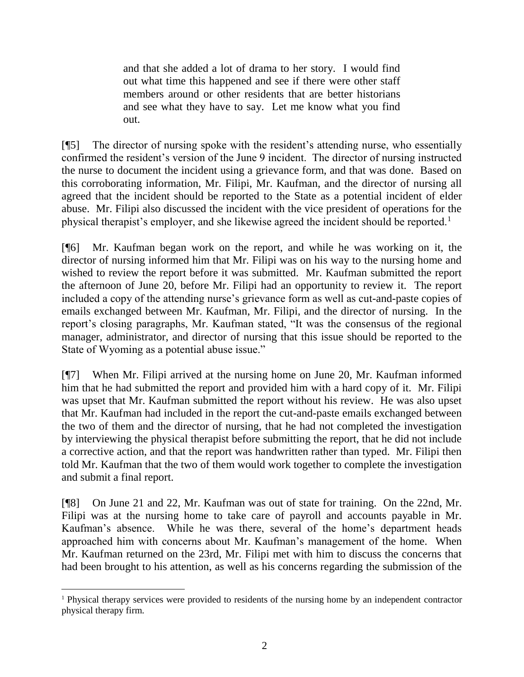and that she added a lot of drama to her story. I would find out what time this happened and see if there were other staff members around or other residents that are better historians and see what they have to say. Let me know what you find out.

[¶5] The director of nursing spoke with the resident's attending nurse, who essentially confirmed the resident's version of the June 9 incident. The director of nursing instructed the nurse to document the incident using a grievance form, and that was done. Based on this corroborating information, Mr. Filipi, Mr. Kaufman, and the director of nursing all agreed that the incident should be reported to the State as a potential incident of elder abuse. Mr. Filipi also discussed the incident with the vice president of operations for the physical therapist's employer, and she likewise agreed the incident should be reported.<sup>1</sup>

[¶6] Mr. Kaufman began work on the report, and while he was working on it, the director of nursing informed him that Mr. Filipi was on his way to the nursing home and wished to review the report before it was submitted. Mr. Kaufman submitted the report the afternoon of June 20, before Mr. Filipi had an opportunity to review it. The report included a copy of the attending nurse's grievance form as well as cut-and-paste copies of emails exchanged between Mr. Kaufman, Mr. Filipi, and the director of nursing. In the report's closing paragraphs, Mr. Kaufman stated, "It was the consensus of the regional manager, administrator, and director of nursing that this issue should be reported to the State of Wyoming as a potential abuse issue."

[¶7] When Mr. Filipi arrived at the nursing home on June 20, Mr. Kaufman informed him that he had submitted the report and provided him with a hard copy of it. Mr. Filipi was upset that Mr. Kaufman submitted the report without his review. He was also upset that Mr. Kaufman had included in the report the cut-and-paste emails exchanged between the two of them and the director of nursing, that he had not completed the investigation by interviewing the physical therapist before submitting the report, that he did not include a corrective action, and that the report was handwritten rather than typed. Mr. Filipi then told Mr. Kaufman that the two of them would work together to complete the investigation and submit a final report.

[¶8] On June 21 and 22, Mr. Kaufman was out of state for training. On the 22nd, Mr. Filipi was at the nursing home to take care of payroll and accounts payable in Mr. Kaufman's absence. While he was there, several of the home's department heads approached him with concerns about Mr. Kaufman's management of the home. When Mr. Kaufman returned on the 23rd, Mr. Filipi met with him to discuss the concerns that had been brought to his attention, as well as his concerns regarding the submission of the

l

<sup>&</sup>lt;sup>1</sup> Physical therapy services were provided to residents of the nursing home by an independent contractor physical therapy firm.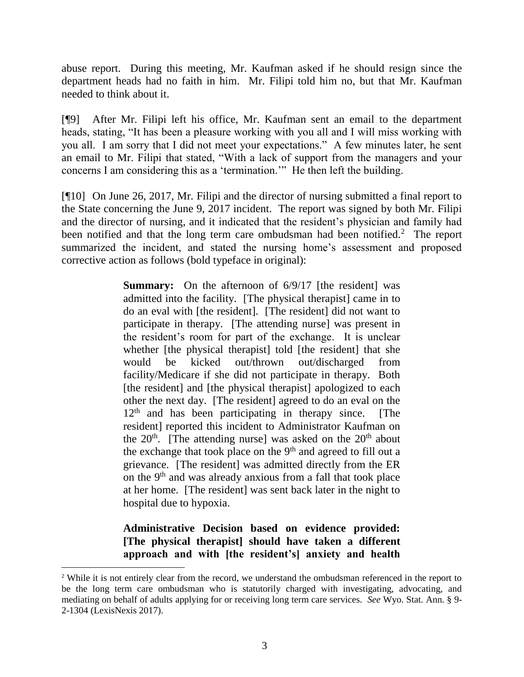abuse report. During this meeting, Mr. Kaufman asked if he should resign since the department heads had no faith in him. Mr. Filipi told him no, but that Mr. Kaufman needed to think about it.

[¶9] After Mr. Filipi left his office, Mr. Kaufman sent an email to the department heads, stating, "It has been a pleasure working with you all and I will miss working with you all. I am sorry that I did not meet your expectations." A few minutes later, he sent an email to Mr. Filipi that stated, "With a lack of support from the managers and your concerns I am considering this as a 'termination.'" He then left the building.

[¶10] On June 26, 2017, Mr. Filipi and the director of nursing submitted a final report to the State concerning the June 9, 2017 incident. The report was signed by both Mr. Filipi and the director of nursing, and it indicated that the resident's physician and family had been notified and that the long term care ombudsman had been notified.<sup>2</sup> The report summarized the incident, and stated the nursing home's assessment and proposed corrective action as follows (bold typeface in original):

> **Summary:** On the afternoon of  $6/9/17$  [the resident] was admitted into the facility. [The physical therapist] came in to do an eval with [the resident]. [The resident] did not want to participate in therapy. [The attending nurse] was present in the resident's room for part of the exchange. It is unclear whether [the physical therapist] told [the resident] that she would be kicked out/thrown out/discharged from facility/Medicare if she did not participate in therapy. Both [the resident] and [the physical therapist] apologized to each other the next day. [The resident] agreed to do an eval on the  $12<sup>th</sup>$  and has been participating in therapy since. [The resident] reported this incident to Administrator Kaufman on the  $20<sup>th</sup>$ . [The attending nurse] was asked on the  $20<sup>th</sup>$  about the exchange that took place on the 9<sup>th</sup> and agreed to fill out a grievance. [The resident] was admitted directly from the ER on the 9th and was already anxious from a fall that took place at her home. [The resident] was sent back later in the night to hospital due to hypoxia.

# **Administrative Decision based on evidence provided: [The physical therapist] should have taken a different approach and with [the resident's] anxiety and health**

<sup>&</sup>lt;sup>2</sup> While it is not entirely clear from the record, we understand the ombudsman referenced in the report to be the long term care ombudsman who is statutorily charged with investigating, advocating, and mediating on behalf of adults applying for or receiving long term care services. *See* Wyo. Stat. Ann. § 9- 2-1304 (LexisNexis 2017).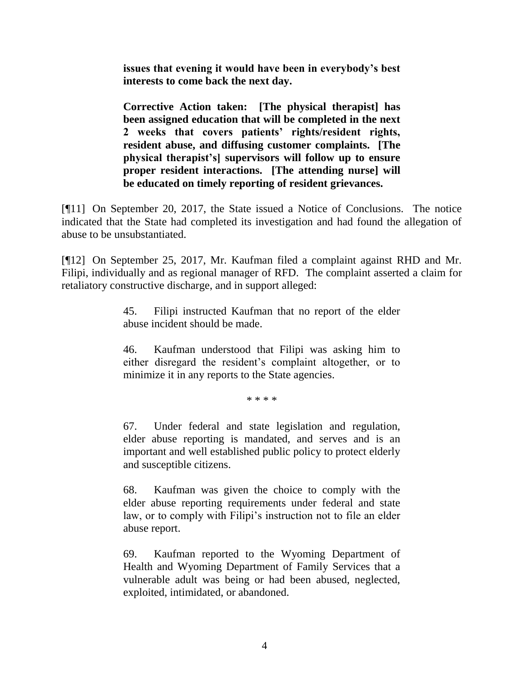**issues that evening it would have been in everybody's best interests to come back the next day.**

**Corrective Action taken: [The physical therapist] has been assigned education that will be completed in the next 2 weeks that covers patients' rights/resident rights, resident abuse, and diffusing customer complaints. [The physical therapist's] supervisors will follow up to ensure proper resident interactions. [The attending nurse] will be educated on timely reporting of resident grievances.**

[¶11] On September 20, 2017, the State issued a Notice of Conclusions. The notice indicated that the State had completed its investigation and had found the allegation of abuse to be unsubstantiated.

[¶12] On September 25, 2017, Mr. Kaufman filed a complaint against RHD and Mr. Filipi, individually and as regional manager of RFD. The complaint asserted a claim for retaliatory constructive discharge, and in support alleged:

> 45. Filipi instructed Kaufman that no report of the elder abuse incident should be made.

> 46. Kaufman understood that Filipi was asking him to either disregard the resident's complaint altogether, or to minimize it in any reports to the State agencies.

> > \* \* \* \*

67. Under federal and state legislation and regulation, elder abuse reporting is mandated, and serves and is an important and well established public policy to protect elderly and susceptible citizens.

68. Kaufman was given the choice to comply with the elder abuse reporting requirements under federal and state law, or to comply with Filipi's instruction not to file an elder abuse report.

69. Kaufman reported to the Wyoming Department of Health and Wyoming Department of Family Services that a vulnerable adult was being or had been abused, neglected, exploited, intimidated, or abandoned.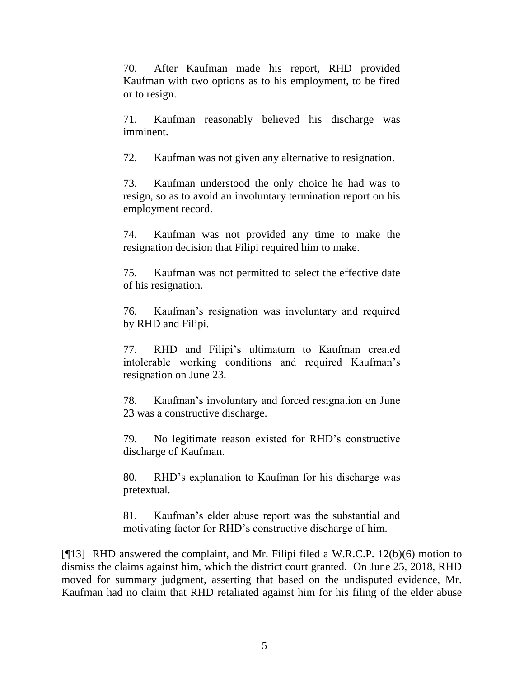70. After Kaufman made his report, RHD provided Kaufman with two options as to his employment, to be fired or to resign.

71. Kaufman reasonably believed his discharge was imminent.

72. Kaufman was not given any alternative to resignation.

73. Kaufman understood the only choice he had was to resign, so as to avoid an involuntary termination report on his employment record.

74. Kaufman was not provided any time to make the resignation decision that Filipi required him to make.

75. Kaufman was not permitted to select the effective date of his resignation.

76. Kaufman's resignation was involuntary and required by RHD and Filipi.

77. RHD and Filipi's ultimatum to Kaufman created intolerable working conditions and required Kaufman's resignation on June 23.

78. Kaufman's involuntary and forced resignation on June 23 was a constructive discharge.

79. No legitimate reason existed for RHD's constructive discharge of Kaufman.

80. RHD's explanation to Kaufman for his discharge was pretextual.

81. Kaufman's elder abuse report was the substantial and motivating factor for RHD's constructive discharge of him.

[¶13] RHD answered the complaint, and Mr. Filipi filed a W.R.C.P. 12(b)(6) motion to dismiss the claims against him, which the district court granted. On June 25, 2018, RHD moved for summary judgment, asserting that based on the undisputed evidence, Mr. Kaufman had no claim that RHD retaliated against him for his filing of the elder abuse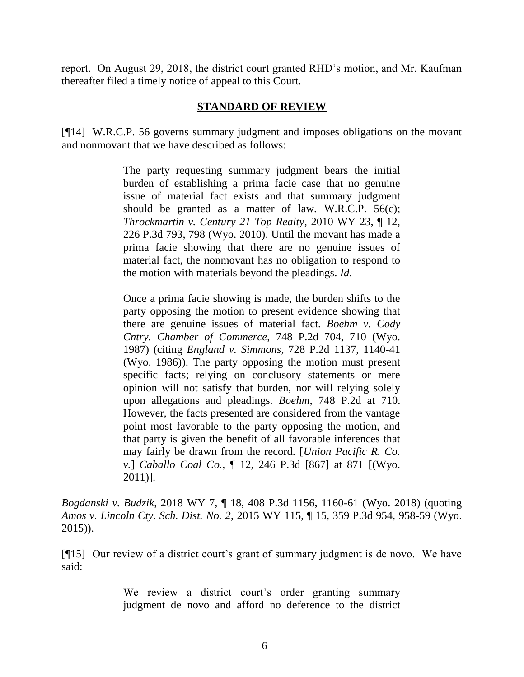report. On August 29, 2018, the district court granted RHD's motion, and Mr. Kaufman thereafter filed a timely notice of appeal to this Court.

#### **STANDARD OF REVIEW**

[¶14] W.R.C.P. 56 governs summary judgment and imposes obligations on the movant and nonmovant that we have described as follows:

> The party requesting summary judgment bears the initial burden of establishing a prima facie case that no genuine issue of material fact exists and that summary judgment should be granted as a matter of law. [W.R.C.P. 56\(c\);](http://www.westlaw.com/Link/Document/FullText?findType=L&pubNum=1008760&cite=WYRRCPR56&originatingDoc=If00747d0015f11e88338c2a2b93e47e8&refType=LQ&originationContext=document&vr=3.0&rs=cblt1.0&transitionType=DocumentItem&contextData=(sc.Search)) *[Throckmartin v. Century 21 Top Realty](http://www.westlaw.com/Link/Document/FullText?findType=Y&serNum=2021462144&pubNum=0004645&originatingDoc=If00747d0015f11e88338c2a2b93e47e8&refType=RP&fi=co_pp_sp_4645_798&originationContext=document&vr=3.0&rs=cblt1.0&transitionType=DocumentItem&contextData=(sc.Search)#co_pp_sp_4645_798)*, 2010 WY 23, ¶ 12, [226 P.3d 793, 798 \(Wyo. 2010\).](http://www.westlaw.com/Link/Document/FullText?findType=Y&serNum=2021462144&pubNum=0004645&originatingDoc=If00747d0015f11e88338c2a2b93e47e8&refType=RP&fi=co_pp_sp_4645_798&originationContext=document&vr=3.0&rs=cblt1.0&transitionType=DocumentItem&contextData=(sc.Search)#co_pp_sp_4645_798) Until the movant has made a prima facie showing that there are no genuine issues of material fact, the nonmovant has no obligation to respond to the motion with materials beyond the pleadings. *[Id](http://www.westlaw.com/Link/Document/FullText?findType=Y&serNum=2021462144&pubNum=0006431&originatingDoc=If00747d0015f11e88338c2a2b93e47e8&refType=RP&originationContext=document&vr=3.0&rs=cblt1.0&transitionType=DocumentItem&contextData=(sc.Search))*.

> Once a prima facie showing is made, the burden shifts to the party opposing the motion to present evidence showing that there are genuine issues of material fact. *[Boehm v. Cody](http://www.westlaw.com/Link/Document/FullText?findType=Y&serNum=1988003696&pubNum=0000661&originatingDoc=If00747d0015f11e88338c2a2b93e47e8&refType=RP&fi=co_pp_sp_661_710&originationContext=document&vr=3.0&rs=cblt1.0&transitionType=DocumentItem&contextData=(sc.Search)#co_pp_sp_661_710)  [Cntry. Chamber of Commerce](http://www.westlaw.com/Link/Document/FullText?findType=Y&serNum=1988003696&pubNum=0000661&originatingDoc=If00747d0015f11e88338c2a2b93e47e8&refType=RP&fi=co_pp_sp_661_710&originationContext=document&vr=3.0&rs=cblt1.0&transitionType=DocumentItem&contextData=(sc.Search)#co_pp_sp_661_710)*, 748 P.2d 704, 710 (Wyo. [1987\)](http://www.westlaw.com/Link/Document/FullText?findType=Y&serNum=1988003696&pubNum=0000661&originatingDoc=If00747d0015f11e88338c2a2b93e47e8&refType=RP&fi=co_pp_sp_661_710&originationContext=document&vr=3.0&rs=cblt1.0&transitionType=DocumentItem&contextData=(sc.Search)#co_pp_sp_661_710) (citing *England v. Simmons*[, 728 P.2d 1137, 1140-41](http://www.westlaw.com/Link/Document/FullText?findType=Y&serNum=1986159292&pubNum=0000661&originatingDoc=If00747d0015f11e88338c2a2b93e47e8&refType=RP&fi=co_pp_sp_661_1140&originationContext=document&vr=3.0&rs=cblt1.0&transitionType=DocumentItem&contextData=(sc.Search)#co_pp_sp_661_1140)  [\(Wyo. 1986\)\)](http://www.westlaw.com/Link/Document/FullText?findType=Y&serNum=1986159292&pubNum=0000661&originatingDoc=If00747d0015f11e88338c2a2b93e47e8&refType=RP&fi=co_pp_sp_661_1140&originationContext=document&vr=3.0&rs=cblt1.0&transitionType=DocumentItem&contextData=(sc.Search)#co_pp_sp_661_1140). The party opposing the motion must present specific facts; relying on conclusory statements or mere opinion will not satisfy that burden, nor will relying solely upon allegations and pleadings. *Boehm*[, 748 P.2d at 710.](http://www.westlaw.com/Link/Document/FullText?findType=Y&serNum=1988003696&pubNum=0000661&originatingDoc=If00747d0015f11e88338c2a2b93e47e8&refType=RP&fi=co_pp_sp_661_710&originationContext=document&vr=3.0&rs=cblt1.0&transitionType=DocumentItem&contextData=(sc.Search)#co_pp_sp_661_710) However, the facts presented are considered from the vantage point most favorable to the party opposing the motion, and that party is given the benefit of all favorable inferences that may fairly be drawn from the record. [*[Union Pacific R. Co.](http://www.westlaw.com/Link/Document/FullText?findType=Y&serNum=2024580781&pubNum=0004645&originatingDoc=If00747d0015f11e88338c2a2b93e47e8&refType=RP&fi=co_pp_sp_4645_871&originationContext=document&vr=3.0&rs=cblt1.0&transitionType=DocumentItem&contextData=(sc.Search)#co_pp_sp_4645_871)  v.*] *Caballo Coal Co.*[, ¶ 12, 246 P.3d \[867\] at 871 \[\(Wyo.](http://www.westlaw.com/Link/Document/FullText?findType=Y&serNum=2024580781&pubNum=0004645&originatingDoc=If00747d0015f11e88338c2a2b93e47e8&refType=RP&fi=co_pp_sp_4645_871&originationContext=document&vr=3.0&rs=cblt1.0&transitionType=DocumentItem&contextData=(sc.Search)#co_pp_sp_4645_871)  [2011\)\]](http://www.westlaw.com/Link/Document/FullText?findType=Y&serNum=2024580781&pubNum=0004645&originatingDoc=If00747d0015f11e88338c2a2b93e47e8&refType=RP&fi=co_pp_sp_4645_871&originationContext=document&vr=3.0&rs=cblt1.0&transitionType=DocumentItem&contextData=(sc.Search)#co_pp_sp_4645_871).

*Bogdanski v. Budzik*, 2018 WY 7, ¶ 18, 408 P.3d 1156, 1160-61 (Wyo. 2018) (quoting *Amos v. Lincoln Cty. Sch. Dist. No. 2*[, 2015 WY 115, ¶ 15, 359 P.3d 954, 958-59 \(Wyo.](http://www.westlaw.com/Link/Document/FullText?findType=Y&serNum=2036938590&pubNum=0004645&originatingDoc=If00747d0015f11e88338c2a2b93e47e8&refType=RP&fi=co_pp_sp_4645_958&originationContext=document&vr=3.0&rs=cblt1.0&transitionType=DocumentItem&contextData=(sc.Search)#co_pp_sp_4645_958) [2015\)\)](http://www.westlaw.com/Link/Document/FullText?findType=Y&serNum=2036938590&pubNum=0004645&originatingDoc=If00747d0015f11e88338c2a2b93e47e8&refType=RP&fi=co_pp_sp_4645_958&originationContext=document&vr=3.0&rs=cblt1.0&transitionType=DocumentItem&contextData=(sc.Search)#co_pp_sp_4645_958).

[¶15] Our review of a district court's grant of summary judgment is de novo. We have said:

> We review a district court's order granting summary judgment de novo and afford no deference to the district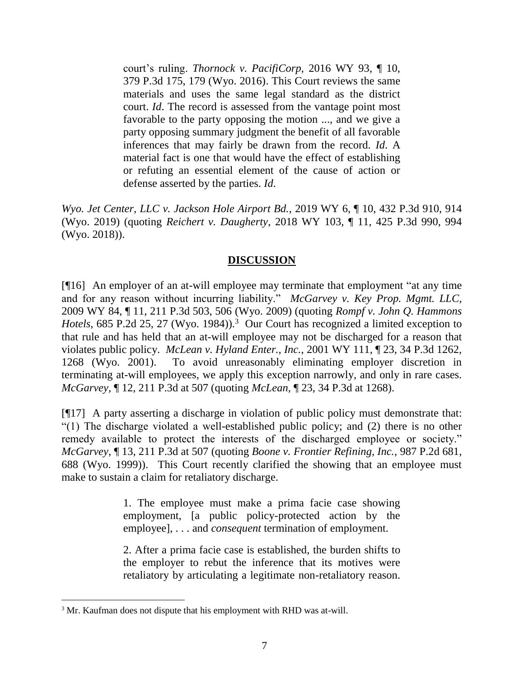court's ruling. *[Thornock v. PacifiCorp](http://www.westlaw.com/Link/Document/FullText?findType=Y&serNum=2039785923&pubNum=0004645&originatingDoc=I050886c0192511e9a573b12ad1dad226&refType=RP&fi=co_pp_sp_4645_179&originationContext=document&vr=3.0&rs=cblt1.0&transitionType=DocumentItem&contextData=(sc.Search)#co_pp_sp_4645_179)*, 2016 WY 93, ¶ 10, [379 P.3d 175, 179 \(Wyo. 2016\).](http://www.westlaw.com/Link/Document/FullText?findType=Y&serNum=2039785923&pubNum=0004645&originatingDoc=I050886c0192511e9a573b12ad1dad226&refType=RP&fi=co_pp_sp_4645_179&originationContext=document&vr=3.0&rs=cblt1.0&transitionType=DocumentItem&contextData=(sc.Search)#co_pp_sp_4645_179) This Court reviews the same materials and uses the same legal standard as the district court. *[Id](http://www.westlaw.com/Link/Document/FullText?findType=Y&serNum=2039785923&pubNum=0006431&originatingDoc=I050886c0192511e9a573b12ad1dad226&refType=RP&originationContext=document&vr=3.0&rs=cblt1.0&transitionType=DocumentItem&contextData=(sc.Search))*. The record is assessed from the vantage point most favorable to the party opposing the motion ..., and we give a party opposing summary judgment the benefit of all favorable inferences that may fairly be drawn from the record. *[Id](http://www.westlaw.com/Link/Document/FullText?findType=Y&serNum=2039785923&pubNum=0006431&originatingDoc=I050886c0192511e9a573b12ad1dad226&refType=RP&originationContext=document&vr=3.0&rs=cblt1.0&transitionType=DocumentItem&contextData=(sc.Search))*. A material fact is one that would have the effect of establishing or refuting an essential element of the cause of action or defense asserted by the parties. *[Id](http://www.westlaw.com/Link/Document/FullText?findType=Y&serNum=2039785923&pubNum=0006431&originatingDoc=I050886c0192511e9a573b12ad1dad226&refType=RP&originationContext=document&vr=3.0&rs=cblt1.0&transitionType=DocumentItem&contextData=(sc.Search))*.

*Wyo. Jet Center, LLC v. Jackson Hole Airport Bd.*, 2019 WY 6, ¶ 10, 432 P.3d 910, 914 (Wyo. 2019) (quoting *Reichert v. Daugherty*[, 2018 WY 103, ¶ 11, 425 P.3d 990, 994](http://www.westlaw.com/Link/Document/FullText?findType=Y&serNum=2045408383&pubNum=0004645&originatingDoc=I050886c0192511e9a573b12ad1dad226&refType=RP&fi=co_pp_sp_4645_994&originationContext=document&vr=3.0&rs=cblt1.0&transitionType=DocumentItem&contextData=(sc.Search)#co_pp_sp_4645_994)  [\(Wyo. 2018\)\)](http://www.westlaw.com/Link/Document/FullText?findType=Y&serNum=2045408383&pubNum=0004645&originatingDoc=I050886c0192511e9a573b12ad1dad226&refType=RP&fi=co_pp_sp_4645_994&originationContext=document&vr=3.0&rs=cblt1.0&transitionType=DocumentItem&contextData=(sc.Search)#co_pp_sp_4645_994).

# **DISCUSSION**

[¶16] An employer of an at-will employee may terminate that employment "at any time and for any reason without incurring liability." *McGarvey v. Key Prop. Mgmt. LLC*, 2009 WY 84, ¶ 11, 211 P.3d 503, 506 (Wyo. 2009) (quoting *[Rompf v. John Q. Hammons](http://www.westlaw.com/Link/Document/FullText?findType=Y&serNum=1984138019&pubNum=0000661&originatingDoc=Ie84463f8667011deabded03f2b83b8a4&refType=RP&fi=co_pp_sp_661_27&originationContext=document&vr=3.0&rs=cblt1.0&transitionType=DocumentItem&contextData=(sc.Keycite)#co_pp_sp_661_27)*  Hotels[, 685 P.2d 25, 27 \(Wyo.](http://www.westlaw.com/Link/Document/FullText?findType=Y&serNum=1984138019&pubNum=0000661&originatingDoc=Ie84463f8667011deabded03f2b83b8a4&refType=RP&fi=co_pp_sp_661_27&originationContext=document&vr=3.0&rs=cblt1.0&transitionType=DocumentItem&contextData=(sc.Keycite)#co_pp_sp_661_27) 1984)).<sup>3</sup> Our Court has recognized a limited exception to that rule and has held that an at-will employee may not be discharged for a reason that violates public policy. *McLean v. Hyland Enter., Inc.*, 2001 WY 111, ¶ 23, 34 P.3d 1262, 1268 (Wyo. 2001). To avoid unreasonably eliminating employer discretion in terminating at-will employees, we apply this exception narrowly, and only in rare cases. *McGarvey*, ¶ 12, 211 P.3d at 507 (quoting *McLean*, ¶ [23, 34 P.3d](http://www.westlaw.com/Link/Document/FullText?findType=Y&serNum=2001966872&pubNum=0004645&originatingDoc=Ie84463f8667011deabded03f2b83b8a4&refType=RP&fi=co_pp_sp_4645_1268&originationContext=document&vr=3.0&rs=cblt1.0&transitionType=DocumentItem&contextData=(sc.Keycite)#co_pp_sp_4645_1268) at 1268).

[¶17] A party asserting a discharge in violation of public policy must demonstrate that: "(1) The discharge violated a well-established public policy; and (2) there is no other remedy available to protect the interests of the discharged employee or society." *McGarvey*, ¶ 13, 211 P.3d at 507 (quoting *[Boone v. Frontier Refining, Inc.](http://www.westlaw.com/Link/Document/FullText?findType=Y&serNum=1999214220&pubNum=0000661&originatingDoc=Ie84463f8667011deabded03f2b83b8a4&refType=RP&fi=co_pp_sp_661_688&originationContext=document&vr=3.0&rs=cblt1.0&transitionType=DocumentItem&contextData=(sc.Keycite)#co_pp_sp_661_688)*, 987 P.2d 681, [688 \(Wyo.](http://www.westlaw.com/Link/Document/FullText?findType=Y&serNum=1999214220&pubNum=0000661&originatingDoc=Ie84463f8667011deabded03f2b83b8a4&refType=RP&fi=co_pp_sp_661_688&originationContext=document&vr=3.0&rs=cblt1.0&transitionType=DocumentItem&contextData=(sc.Keycite)#co_pp_sp_661_688) 1999)). This Court recently clarified the showing that an employee must make to sustain a claim for retaliatory discharge.

> 1. The employee must make a prima facie case showing employment, [a public policy-protected action by the employee], . . . and *consequent* termination of employment.

> 2. After a prima facie case is established, the burden shifts to the employer to rebut the inference that its motives were retaliatory by articulating a legitimate non-retaliatory reason.

<sup>&</sup>lt;sup>3</sup> Mr. Kaufman does not dispute that his employment with RHD was at-will.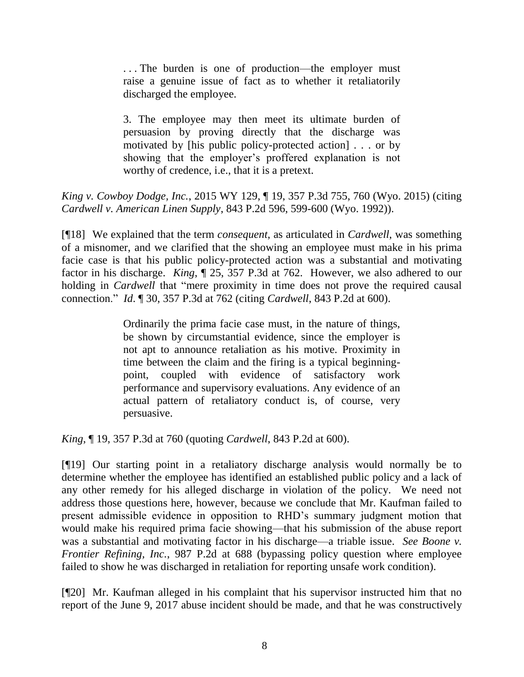. . . The burden is one of production—the employer must raise a genuine issue of fact as to whether it retaliatorily discharged the employee.

3. The employee may then meet its ultimate burden of persuasion by proving directly that the discharge was motivated by [his public policy-protected action] . . . or by showing that the employer's proffered explanation is not worthy of credence, i.e., that it is a pretext.

*King v. Cowboy Dodge, Inc.*, 2015 WY 129, ¶ 19, 357 P.3d 755, 760 (Wyo. 2015) (citing *[Cardwell v. American Linen Supply](http://www.westlaw.com/Link/Document/FullText?findType=Y&serNum=1992213236&pubNum=0000661&originatingDoc=I5b268ed3626511e5a795ac035416da91&refType=RP&fi=co_pp_sp_661_599&originationContext=document&vr=3.0&rs=cblt1.0&transitionType=DocumentItem&contextData=(sc.UserEnteredCitation)#co_pp_sp_661_599)*, 843 P.2d 596, 599-600 (Wyo. 1992)).

[¶18] We explained that the term *consequent*, as articulated in *Cardwell*, was something of a misnomer, and we clarified that the showing an employee must make in his prima facie case is that his public policy-protected action was a substantial and motivating factor in his discharge. *King*, ¶ 25, 357 P.3d at 762. However, we also adhered to our holding in *Cardwell* that "mere proximity in time does not prove the required causal connection." *Id*. ¶ 30, 357 P.3d at 762 (citing *Cardwell*, 843 P.2d at 600).

> Ordinarily the prima facie case must, in the nature of things, be shown by circumstantial evidence, since the employer is not apt to announce retaliation as his motive. Proximity in time between the claim and the firing is a typical beginningpoint, coupled with evidence of satisfactory work performance and supervisory evaluations. Any evidence of an actual pattern of retaliatory conduct is, of course, very persuasive.

*King*, ¶ 19, 357 P.3d at 760 (quoting *Cardwell*, 843 P.2d at 600).

[¶19] Our starting point in a retaliatory discharge analysis would normally be to determine whether the employee has identified an established public policy and a lack of any other remedy for his alleged discharge in violation of the policy. We need not address those questions here, however, because we conclude that Mr. Kaufman failed to present admissible evidence in opposition to RHD's summary judgment motion that would make his required prima facie showing—that his submission of the abuse report was a substantial and motivating factor in his discharge—a triable issue. *See Boone v. Frontier Refining, Inc.*, 987 P.2d at 688 (bypassing policy question where employee failed to show he was discharged in retaliation for reporting unsafe work condition).

[¶20] Mr. Kaufman alleged in his complaint that his supervisor instructed him that no report of the June 9, 2017 abuse incident should be made, and that he was constructively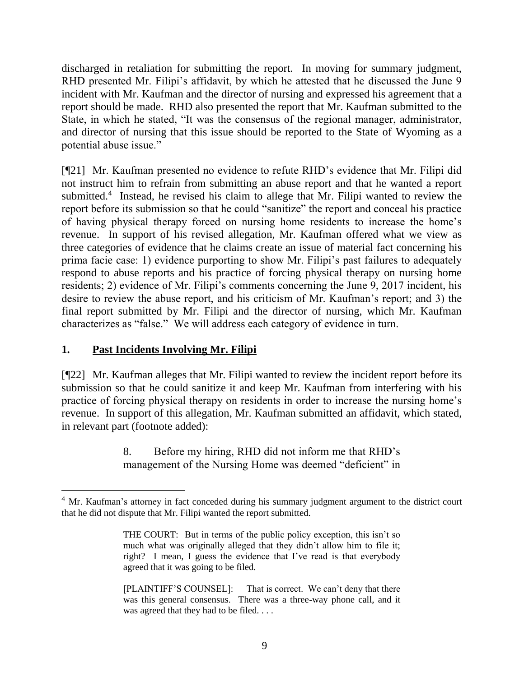discharged in retaliation for submitting the report. In moving for summary judgment, RHD presented Mr. Filipi's affidavit, by which he attested that he discussed the June 9 incident with Mr. Kaufman and the director of nursing and expressed his agreement that a report should be made. RHD also presented the report that Mr. Kaufman submitted to the State, in which he stated, "It was the consensus of the regional manager, administrator, and director of nursing that this issue should be reported to the State of Wyoming as a potential abuse issue."

[¶21] Mr. Kaufman presented no evidence to refute RHD's evidence that Mr. Filipi did not instruct him to refrain from submitting an abuse report and that he wanted a report submitted.<sup>4</sup> Instead, he revised his claim to allege that Mr. Filipi wanted to review the report before its submission so that he could "sanitize" the report and conceal his practice of having physical therapy forced on nursing home residents to increase the home's revenue. In support of his revised allegation, Mr. Kaufman offered what we view as three categories of evidence that he claims create an issue of material fact concerning his prima facie case: 1) evidence purporting to show Mr. Filipi's past failures to adequately respond to abuse reports and his practice of forcing physical therapy on nursing home residents; 2) evidence of Mr. Filipi's comments concerning the June 9, 2017 incident, his desire to review the abuse report, and his criticism of Mr. Kaufman's report; and 3) the final report submitted by Mr. Filipi and the director of nursing, which Mr. Kaufman characterizes as "false." We will address each category of evidence in turn.

### **1. Past Incidents Involving Mr. Filipi**

[¶22] Mr. Kaufman alleges that Mr. Filipi wanted to review the incident report before its submission so that he could sanitize it and keep Mr. Kaufman from interfering with his practice of forcing physical therapy on residents in order to increase the nursing home's revenue. In support of this allegation, Mr. Kaufman submitted an affidavit, which stated, in relevant part (footnote added):

> 8. Before my hiring, RHD did not inform me that RHD's management of the Nursing Home was deemed "deficient" in

<sup>&</sup>lt;sup>4</sup> Mr. Kaufman's attorney in fact conceded during his summary judgment argument to the district court that he did not dispute that Mr. Filipi wanted the report submitted.

THE COURT: But in terms of the public policy exception, this isn't so much what was originally alleged that they didn't allow him to file it; right? I mean, I guess the evidence that I've read is that everybody agreed that it was going to be filed.

<sup>[</sup>PLAINTIFF'S COUNSEL]: That is correct. We can't deny that there was this general consensus. There was a three-way phone call, and it was agreed that they had to be filed. . . .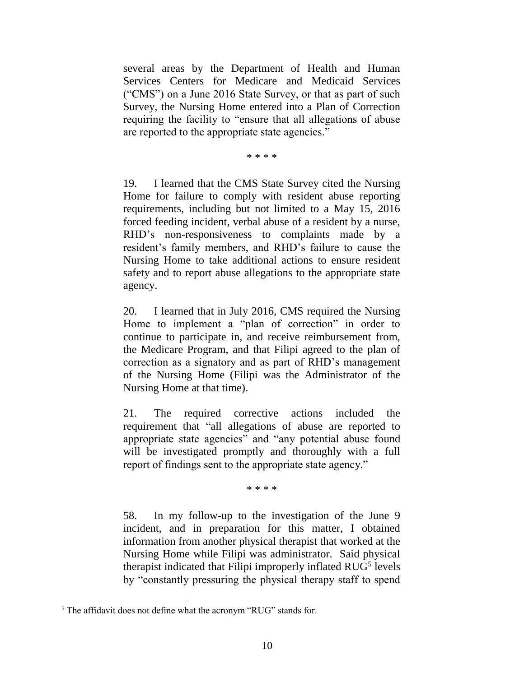several areas by the Department of Health and Human Services Centers for Medicare and Medicaid Services ("CMS") on a June 2016 State Survey, or that as part of such Survey, the Nursing Home entered into a Plan of Correction requiring the facility to "ensure that all allegations of abuse are reported to the appropriate state agencies."

\* \* \* \*

19. I learned that the CMS State Survey cited the Nursing Home for failure to comply with resident abuse reporting requirements, including but not limited to a May 15, 2016 forced feeding incident, verbal abuse of a resident by a nurse, RHD's non-responsiveness to complaints made by a resident's family members, and RHD's failure to cause the Nursing Home to take additional actions to ensure resident safety and to report abuse allegations to the appropriate state agency.

20. I learned that in July 2016, CMS required the Nursing Home to implement a "plan of correction" in order to continue to participate in, and receive reimbursement from, the Medicare Program, and that Filipi agreed to the plan of correction as a signatory and as part of RHD's management of the Nursing Home (Filipi was the Administrator of the Nursing Home at that time).

21. The required corrective actions included the requirement that "all allegations of abuse are reported to appropriate state agencies" and "any potential abuse found will be investigated promptly and thoroughly with a full report of findings sent to the appropriate state agency."

\* \* \* \*

58. In my follow-up to the investigation of the June 9 incident, and in preparation for this matter, I obtained information from another physical therapist that worked at the Nursing Home while Filipi was administrator. Said physical therapist indicated that Filipi improperly inflated RUG<sup>5</sup> levels by "constantly pressuring the physical therapy staff to spend

<sup>&</sup>lt;sup>5</sup> The affidavit does not define what the acronym "RUG" stands for.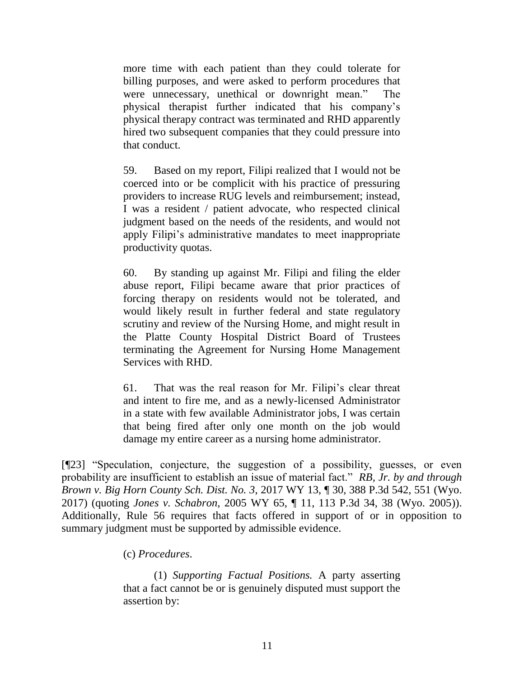more time with each patient than they could tolerate for billing purposes, and were asked to perform procedures that were unnecessary, unethical or downright mean." The physical therapist further indicated that his company's physical therapy contract was terminated and RHD apparently hired two subsequent companies that they could pressure into that conduct.

59. Based on my report, Filipi realized that I would not be coerced into or be complicit with his practice of pressuring providers to increase RUG levels and reimbursement; instead, I was a resident / patient advocate, who respected clinical judgment based on the needs of the residents, and would not apply Filipi's administrative mandates to meet inappropriate productivity quotas.

60. By standing up against Mr. Filipi and filing the elder abuse report, Filipi became aware that prior practices of forcing therapy on residents would not be tolerated, and would likely result in further federal and state regulatory scrutiny and review of the Nursing Home, and might result in the Platte County Hospital District Board of Trustees terminating the Agreement for Nursing Home Management Services with RHD.

61. That was the real reason for Mr. Filipi's clear threat and intent to fire me, and as a newly-licensed Administrator in a state with few available Administrator jobs, I was certain that being fired after only one month on the job would damage my entire career as a nursing home administrator.

[¶23] "Speculation, conjecture, the suggestion of a possibility, guesses, or even probability are insufficient to establish an issue of material fact." *RB, Jr. by and through Brown v. Big Horn County Sch. Dist. No. 3*, 2017 WY 13, ¶ 30, 388 P.3d 542, 551 (Wyo. 2017) (quoting *Jones v. Schabron*[, 2005 WY 65, ¶ 11, 113 P.3d 34, 38 \(Wyo. 2005\)](http://www.westlaw.com/Link/Document/FullText?findType=Y&serNum=2006759096&pubNum=0004645&originatingDoc=I2e16d600edb911e69a9296e6a6f4a986&refType=RP&fi=co_pp_sp_4645_38&originationContext=document&vr=3.0&rs=cblt1.0&transitionType=DocumentItem&contextData=(sc.DocLink)#co_pp_sp_4645_38)). Additionally, Rule 56 requires that facts offered in support of or in opposition to summary judgment must be supported by admissible evidence.

(c) *Procedures*.

(1) *Supporting Factual Positions.* A party asserting that a fact cannot be or is genuinely disputed must support the assertion by: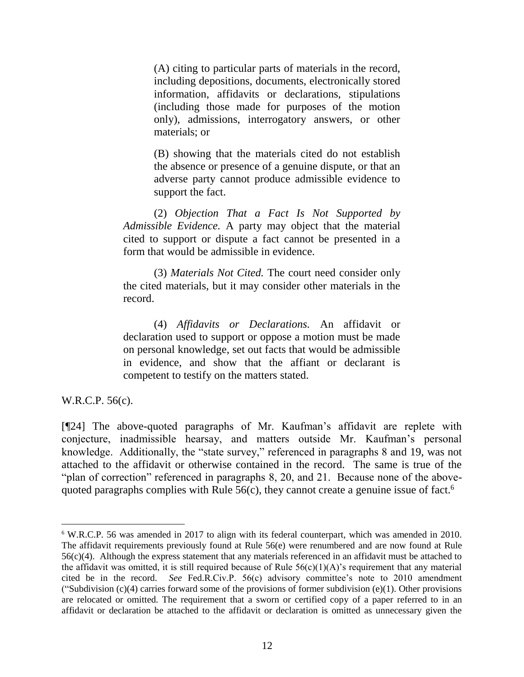(A) citing to particular parts of materials in the record, including depositions, documents, electronically stored information, affidavits or declarations, stipulations (including those made for purposes of the motion only), admissions, interrogatory answers, or other materials; or

(B) showing that the materials cited do not establish the absence or presence of a genuine dispute, or that an adverse party cannot produce admissible evidence to support the fact.

(2) *Objection That a Fact Is Not Supported by Admissible Evidence.* A party may object that the material cited to support or dispute a fact cannot be presented in a form that would be admissible in evidence.

(3) *Materials Not Cited.* The court need consider only the cited materials, but it may consider other materials in the record.

(4) *Affidavits or Declarations.* An affidavit or declaration used to support or oppose a motion must be made on personal knowledge, set out facts that would be admissible in evidence, and show that the affiant or declarant is competent to testify on the matters stated.

W.R.C.P. 56(c).

[¶24] The above-quoted paragraphs of Mr. Kaufman's affidavit are replete with conjecture, inadmissible hearsay, and matters outside Mr. Kaufman's personal knowledge. Additionally, the "state survey," referenced in paragraphs 8 and 19, was not attached to the affidavit or otherwise contained in the record. The same is true of the "plan of correction" referenced in paragraphs 8, 20, and 21. Because none of the abovequoted paragraphs complies with Rule  $56(c)$ , they cannot create a genuine issue of fact.<sup>6</sup>

<sup>6</sup> W.R.C.P. 56 was amended in 2017 to align with its federal counterpart, which was amended in 2010. The affidavit requirements previously found at Rule 56(e) were renumbered and are now found at Rule  $56(c)(4)$ . Although the express statement that any materials referenced in an affidavit must be attached to the affidavit was omitted, it is still required because of Rule  $56(c)(1)(A)$ 's requirement that any material cited be in the record. *See* Fed.R.Civ.P. 56(c) advisory committee's note to 2010 amendment ("Subdivision  $(c)(4)$  carries forward some of the provisions of former subdivision  $(e)(1)$ . Other provisions are relocated or omitted. The requirement that a sworn or certified copy of a paper referred to in an affidavit or declaration be attached to the affidavit or declaration is omitted as unnecessary given the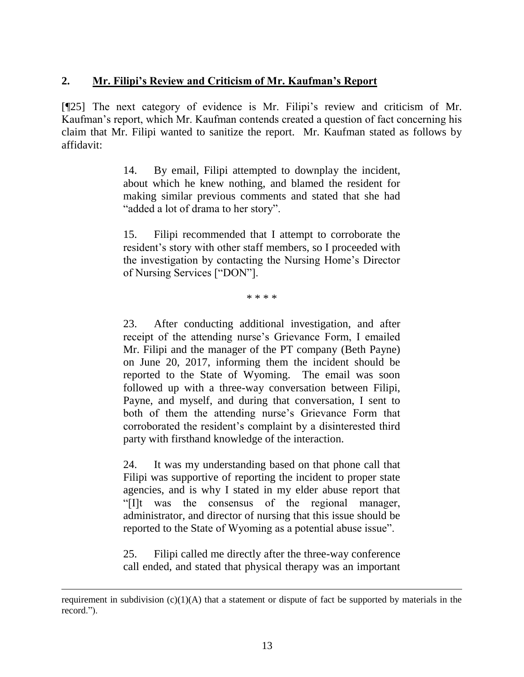# **2. Mr. Filipi's Review and Criticism of Mr. Kaufman's Report**

[¶25] The next category of evidence is Mr. Filipi's review and criticism of Mr. Kaufman's report, which Mr. Kaufman contends created a question of fact concerning his claim that Mr. Filipi wanted to sanitize the report. Mr. Kaufman stated as follows by affidavit:

> 14. By email, Filipi attempted to downplay the incident, about which he knew nothing, and blamed the resident for making similar previous comments and stated that she had "added a lot of drama to her story".

> 15. Filipi recommended that I attempt to corroborate the resident's story with other staff members, so I proceeded with the investigation by contacting the Nursing Home's Director of Nursing Services ["DON"].

> > \* \* \* \*

23. After conducting additional investigation, and after receipt of the attending nurse's Grievance Form, I emailed Mr. Filipi and the manager of the PT company (Beth Payne) on June 20, 2017, informing them the incident should be reported to the State of Wyoming. The email was soon followed up with a three-way conversation between Filipi, Payne, and myself, and during that conversation, I sent to both of them the attending nurse's Grievance Form that corroborated the resident's complaint by a disinterested third party with firsthand knowledge of the interaction.

24. It was my understanding based on that phone call that Filipi was supportive of reporting the incident to proper state agencies, and is why I stated in my elder abuse report that "[I]t was the consensus of the regional manager, administrator, and director of nursing that this issue should be reported to the State of Wyoming as a potential abuse issue".

25. Filipi called me directly after the three-way conference call ended, and stated that physical therapy was an important

l

requirement in subdivision  $(c)(1)(A)$  that a statement or dispute of fact be supported by materials in the record.").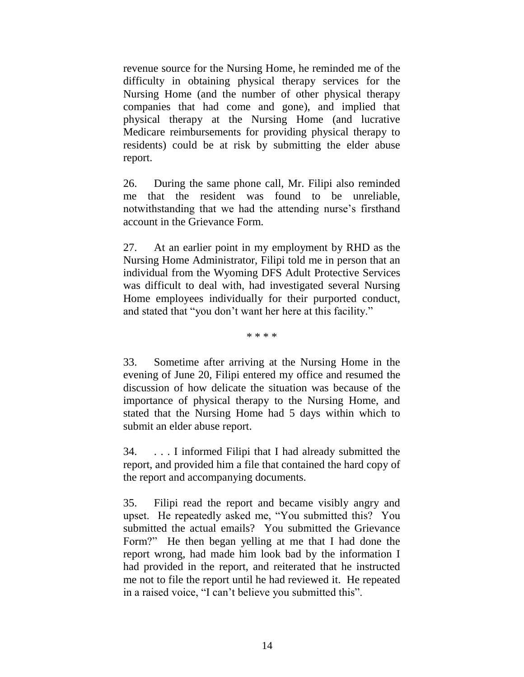revenue source for the Nursing Home, he reminded me of the difficulty in obtaining physical therapy services for the Nursing Home (and the number of other physical therapy companies that had come and gone), and implied that physical therapy at the Nursing Home (and lucrative Medicare reimbursements for providing physical therapy to residents) could be at risk by submitting the elder abuse report.

26. During the same phone call, Mr. Filipi also reminded me that the resident was found to be unreliable, notwithstanding that we had the attending nurse's firsthand account in the Grievance Form.

27. At an earlier point in my employment by RHD as the Nursing Home Administrator, Filipi told me in person that an individual from the Wyoming DFS Adult Protective Services was difficult to deal with, had investigated several Nursing Home employees individually for their purported conduct, and stated that "you don't want her here at this facility."

\* \* \* \*

33. Sometime after arriving at the Nursing Home in the evening of June 20, Filipi entered my office and resumed the discussion of how delicate the situation was because of the importance of physical therapy to the Nursing Home, and stated that the Nursing Home had 5 days within which to submit an elder abuse report.

34. . . . I informed Filipi that I had already submitted the report, and provided him a file that contained the hard copy of the report and accompanying documents.

35. Filipi read the report and became visibly angry and upset. He repeatedly asked me, "You submitted this? You submitted the actual emails? You submitted the Grievance Form?" He then began yelling at me that I had done the report wrong, had made him look bad by the information I had provided in the report, and reiterated that he instructed me not to file the report until he had reviewed it. He repeated in a raised voice, "I can't believe you submitted this".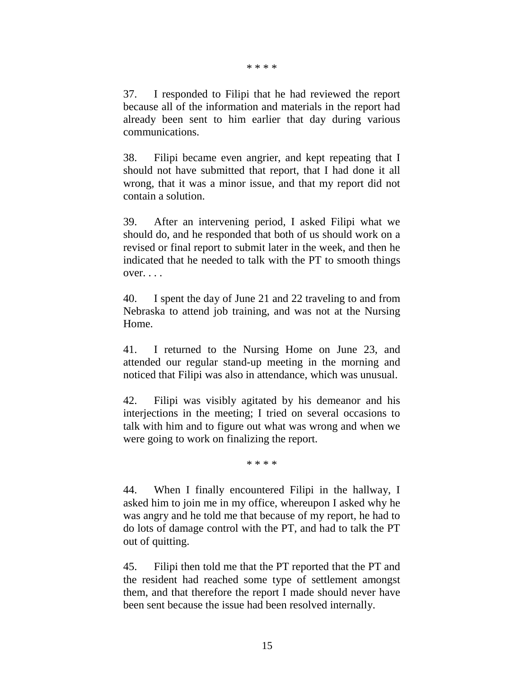#### \* \* \* \*

37. I responded to Filipi that he had reviewed the report because all of the information and materials in the report had already been sent to him earlier that day during various communications.

38. Filipi became even angrier, and kept repeating that I should not have submitted that report, that I had done it all wrong, that it was a minor issue, and that my report did not contain a solution.

39. After an intervening period, I asked Filipi what we should do, and he responded that both of us should work on a revised or final report to submit later in the week, and then he indicated that he needed to talk with the PT to smooth things  $over. \ldots$ 

40. I spent the day of June 21 and 22 traveling to and from Nebraska to attend job training, and was not at the Nursing Home.

41. I returned to the Nursing Home on June 23, and attended our regular stand-up meeting in the morning and noticed that Filipi was also in attendance, which was unusual.

42. Filipi was visibly agitated by his demeanor and his interjections in the meeting; I tried on several occasions to talk with him and to figure out what was wrong and when we were going to work on finalizing the report.

\* \* \* \*

44. When I finally encountered Filipi in the hallway, I asked him to join me in my office, whereupon I asked why he was angry and he told me that because of my report, he had to do lots of damage control with the PT, and had to talk the PT out of quitting.

45. Filipi then told me that the PT reported that the PT and the resident had reached some type of settlement amongst them, and that therefore the report I made should never have been sent because the issue had been resolved internally.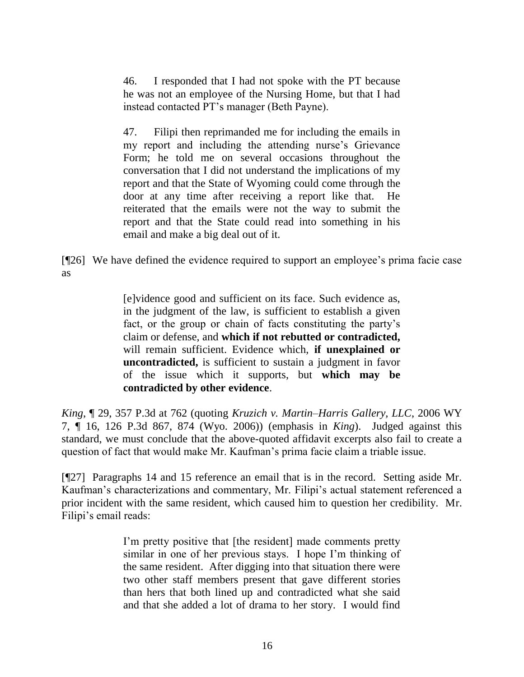46. I responded that I had not spoke with the PT because he was not an employee of the Nursing Home, but that I had instead contacted PT's manager (Beth Payne).

47. Filipi then reprimanded me for including the emails in my report and including the attending nurse's Grievance Form; he told me on several occasions throughout the conversation that I did not understand the implications of my report and that the State of Wyoming could come through the door at any time after receiving a report like that. He reiterated that the emails were not the way to submit the report and that the State could read into something in his email and make a big deal out of it.

[¶26] We have defined the evidence required to support an employee's prima facie case as

> [e]vidence good and sufficient on its face. Such evidence as, in the judgment of the law, is sufficient to establish a given fact, or the group or chain of facts constituting the party's claim or defense, and **which if not rebutted or contradicted,** will remain sufficient. Evidence which, **if unexplained or uncontradicted,** is sufficient to sustain a judgment in favor of the issue which it supports, but **which may be contradicted by other evidence**.

*King*, ¶ 29, 357 P.3d at 762 (quoting *[Kruzich v. Martin–Harris Gallery, LLC](http://www.westlaw.com/Link/Document/FullText?findType=Y&serNum=2008124716&pubNum=0004645&originatingDoc=I5b268ed3626511e5a795ac035416da91&refType=RP&fi=co_pp_sp_4645_874&originationContext=document&vr=3.0&rs=cblt1.0&transitionType=DocumentItem&contextData=(sc.UserEnteredCitation)#co_pp_sp_4645_874)*, 2006 WY [7, ¶ 16, 126 P.3d 867, 874 \(Wyo.](http://www.westlaw.com/Link/Document/FullText?findType=Y&serNum=2008124716&pubNum=0004645&originatingDoc=I5b268ed3626511e5a795ac035416da91&refType=RP&fi=co_pp_sp_4645_874&originationContext=document&vr=3.0&rs=cblt1.0&transitionType=DocumentItem&contextData=(sc.UserEnteredCitation)#co_pp_sp_4645_874) 2006)) (emphasis in *King*). Judged against this standard, we must conclude that the above-quoted affidavit excerpts also fail to create a question of fact that would make Mr. Kaufman's prima facie claim a triable issue.

[¶27] Paragraphs 14 and 15 reference an email that is in the record. Setting aside Mr. Kaufman's characterizations and commentary, Mr. Filipi's actual statement referenced a prior incident with the same resident, which caused him to question her credibility. Mr. Filipi's email reads:

> I'm pretty positive that [the resident] made comments pretty similar in one of her previous stays. I hope I'm thinking of the same resident. After digging into that situation there were two other staff members present that gave different stories than hers that both lined up and contradicted what she said and that she added a lot of drama to her story. I would find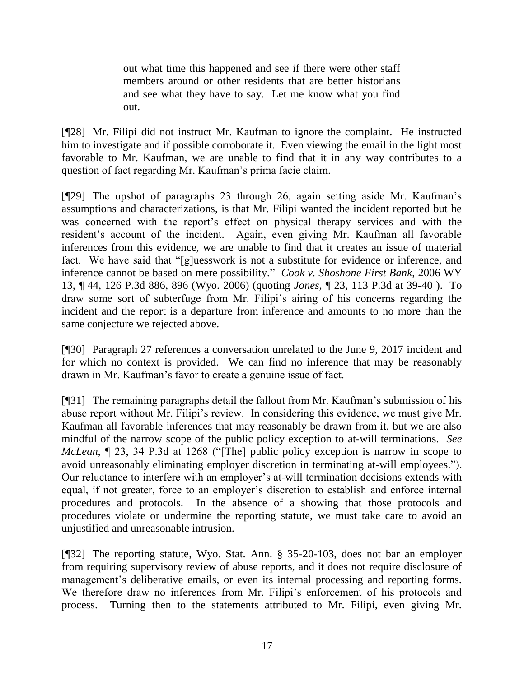out what time this happened and see if there were other staff members around or other residents that are better historians and see what they have to say. Let me know what you find out.

[¶28] Mr. Filipi did not instruct Mr. Kaufman to ignore the complaint. He instructed him to investigate and if possible corroborate it. Even viewing the email in the light most favorable to Mr. Kaufman, we are unable to find that it in any way contributes to a question of fact regarding Mr. Kaufman's prima facie claim.

[¶29] The upshot of paragraphs 23 through 26, again setting aside Mr. Kaufman's assumptions and characterizations, is that Mr. Filipi wanted the incident reported but he was concerned with the report's effect on physical therapy services and with the resident's account of the incident. Again, even giving Mr. Kaufman all favorable inferences from this evidence, we are unable to find that it creates an issue of material fact. We have said that "[g]uesswork is not a substitute for evidence or inference, and inference cannot be based on mere possibility." *Cook v. Shoshone First Bank*, 2006 WY 13, ¶ 44, 126 P.3d 886, 896 (Wyo. 2006) (quoting *Jones*, ¶ [23, 113 P.3d at](http://www.westlaw.com/Link/Document/FullText?findType=Y&serNum=2006759096&pubNum=0004645&originatingDoc=Ib67daeae89ef11da97faf3f66e4b6844&refType=RP&fi=co_pp_sp_4645_37&originationContext=document&vr=3.0&rs=cblt1.0&transitionType=DocumentItem&contextData=(sc.Search)#co_pp_sp_4645_37) 39-40 ). To draw some sort of subterfuge from Mr. Filipi's airing of his concerns regarding the incident and the report is a departure from inference and amounts to no more than the same conjecture we rejected above.

[¶30] Paragraph 27 references a conversation unrelated to the June 9, 2017 incident and for which no context is provided. We can find no inference that may be reasonably drawn in Mr. Kaufman's favor to create a genuine issue of fact.

[¶31] The remaining paragraphs detail the fallout from Mr. Kaufman's submission of his abuse report without Mr. Filipi's review. In considering this evidence, we must give Mr. Kaufman all favorable inferences that may reasonably be drawn from it, but we are also mindful of the narrow scope of the public policy exception to at-will terminations. *See McLean*, ¶ 23, 34 P.3d at 1268 ("[The] public policy exception is narrow in scope to avoid unreasonably eliminating employer discretion in terminating at-will employees."). Our reluctance to interfere with an employer's at-will termination decisions extends with equal, if not greater, force to an employer's discretion to establish and enforce internal procedures and protocols. In the absence of a showing that those protocols and procedures violate or undermine the reporting statute, we must take care to avoid an unjustified and unreasonable intrusion.

[¶32] The reporting statute, Wyo. Stat. Ann. § 35-20-103, does not bar an employer from requiring supervisory review of abuse reports, and it does not require disclosure of management's deliberative emails, or even its internal processing and reporting forms. We therefore draw no inferences from Mr. Filipi's enforcement of his protocols and process. Turning then to the statements attributed to Mr. Filipi, even giving Mr.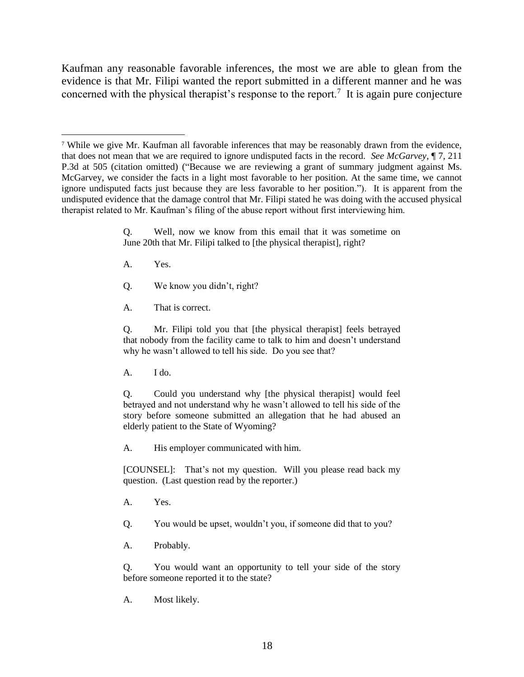Kaufman any reasonable favorable inferences, the most we are able to glean from the evidence is that Mr. Filipi wanted the report submitted in a different manner and he was concerned with the physical therapist's response to the report.<sup>7</sup> It is again pure conjecture

Q. Well, now we know from this email that it was sometime on June 20th that Mr. Filipi talked to [the physical therapist], right?

A. Yes.

 $\overline{a}$ 

- Q. We know you didn't, right?
- A. That is correct.

Q. Mr. Filipi told you that [the physical therapist] feels betrayed that nobody from the facility came to talk to him and doesn't understand why he wasn't allowed to tell his side. Do you see that?

A. I do.

Q. Could you understand why [the physical therapist] would feel betrayed and not understand why he wasn't allowed to tell his side of the story before someone submitted an allegation that he had abused an elderly patient to the State of Wyoming?

A. His employer communicated with him.

[COUNSEL]: That's not my question. Will you please read back my question. (Last question read by the reporter.)

A. Yes.

Q. You would be upset, wouldn't you, if someone did that to you?

A. Probably.

Q. You would want an opportunity to tell your side of the story before someone reported it to the state?

A. Most likely.

<sup>7</sup> While we give Mr. Kaufman all favorable inferences that may be reasonably drawn from the evidence, that does not mean that we are required to ignore undisputed facts in the record. *See McGarvey*, ¶ 7, 211 P.3d at 505 (citation omitted) ("Because we are reviewing a grant of summary judgment against Ms. McGarvey, we consider the facts in a light most favorable to her position. At the same time, we cannot ignore undisputed facts just because they are less favorable to her position."). It is apparent from the undisputed evidence that the damage control that Mr. Filipi stated he was doing with the accused physical therapist related to Mr. Kaufman's filing of the abuse report without first interviewing him.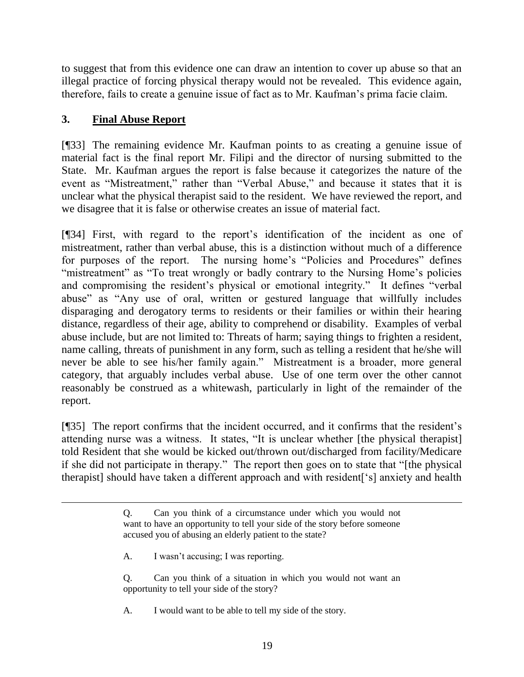to suggest that from this evidence one can draw an intention to cover up abuse so that an illegal practice of forcing physical therapy would not be revealed. This evidence again, therefore, fails to create a genuine issue of fact as to Mr. Kaufman's prima facie claim.

# **3. Final Abuse Report**

 $\overline{a}$ 

[¶33] The remaining evidence Mr. Kaufman points to as creating a genuine issue of material fact is the final report Mr. Filipi and the director of nursing submitted to the State. Mr. Kaufman argues the report is false because it categorizes the nature of the event as "Mistreatment," rather than "Verbal Abuse," and because it states that it is unclear what the physical therapist said to the resident. We have reviewed the report, and we disagree that it is false or otherwise creates an issue of material fact.

[¶34] First, with regard to the report's identification of the incident as one of mistreatment, rather than verbal abuse, this is a distinction without much of a difference for purposes of the report. The nursing home's "Policies and Procedures" defines "mistreatment" as "To treat wrongly or badly contrary to the Nursing Home's policies and compromising the resident's physical or emotional integrity." It defines "verbal abuse" as "Any use of oral, written or gestured language that willfully includes disparaging and derogatory terms to residents or their families or within their hearing distance, regardless of their age, ability to comprehend or disability. Examples of verbal abuse include, but are not limited to: Threats of harm; saying things to frighten a resident, name calling, threats of punishment in any form, such as telling a resident that he/she will never be able to see his/her family again." Mistreatment is a broader, more general category, that arguably includes verbal abuse. Use of one term over the other cannot reasonably be construed as a whitewash, particularly in light of the remainder of the report.

[¶35] The report confirms that the incident occurred, and it confirms that the resident's attending nurse was a witness. It states, "It is unclear whether [the physical therapist] told Resident that she would be kicked out/thrown out/discharged from facility/Medicare if she did not participate in therapy." The report then goes on to state that "[the physical therapist] should have taken a different approach and with resident['s] anxiety and health

- A. I wasn't accusing; I was reporting.
- Q. Can you think of a situation in which you would not want an opportunity to tell your side of the story?
- A. I would want to be able to tell my side of the story.

Q. Can you think of a circumstance under which you would not want to have an opportunity to tell your side of the story before someone accused you of abusing an elderly patient to the state?